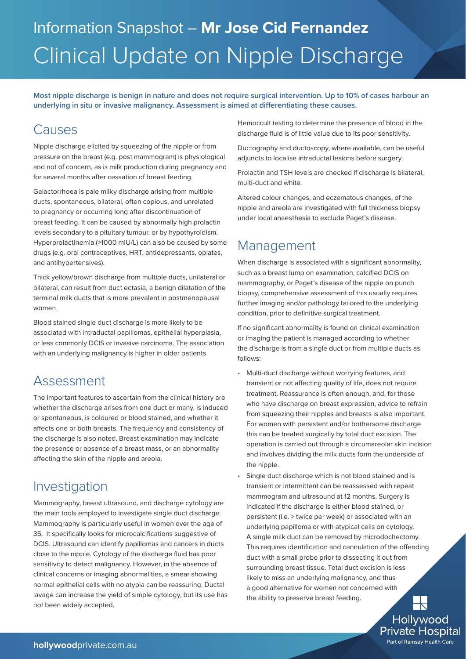# Information Snapshot – **Mr Jose Cid Fernandez** Clinical Update on Nipple Discharge

**Most nipple discharge is benign in nature and does not require surgical intervention. Up to 10% of cases harbour an underlying in situ or invasive malignancy. Assessment is aimed at differentiating these causes.**

#### Causes

Nipple discharge elicited by squeezing of the nipple or from pressure on the breast (e.g. post mammogram) is physiological and not of concern, as is milk production during pregnancy and for several months after cessation of breast feeding.

Galactorrhoea is pale milky discharge arising from multiple ducts, spontaneous, bilateral, often copious, and unrelated to pregnancy or occurring long after discontinuation of breast feeding. It can be caused by abnormally high prolactin levels secondary to a pituitary tumour, or by hypothyroidism. Hyperprolactinemia (>1000 mIU/L) can also be caused by some drugs (e.g. oral contraceptives, HRT, antidepressants, opiates, and antihypertensives).

Thick yellow/brown discharge from multiple ducts, unilateral or bilateral, can result from duct ectasia, a benign dilatation of the terminal milk ducts that is more prevalent in postmenopausal women.

Blood stained single duct discharge is more likely to be associated with intraductal papillomas, epithelial hyperplasia, or less commonly DCIS or invasive carcinoma. The association with an underlying malignancy is higher in older patients.

# Assessment

The important features to ascertain from the clinical history are whether the discharge arises from one duct or many, is induced or spontaneous, is coloured or blood stained, and whether it affects one or both breasts. The frequency and consistency of the discharge is also noted. Breast examination may indicate the presence or absence of a breast mass, or an abnormality affecting the skin of the nipple and areola.

# Investigation

Mammography, breast ultrasound, and discharge cytology are the main tools employed to investigate single duct discharge. Mammography is particularly useful in women over the age of 35. It specifically looks for microcalcifications suggestive of DCIS. Ultrasound can identify papillomas and cancers in ducts close to the nipple. Cytology of the discharge fluid has poor sensitivity to detect malignancy. However, in the absence of clinical concerns or imaging abnormalities, a smear showing normal epithelial cells with no atypia can be reassuring. Ductal lavage can increase the yield of simple cytology, but its use has not been widely accepted.

Hemoccult testing to determine the presence of blood in the discharge fluid is of little value due to its poor sensitivity.

Ductography and ductoscopy, where available, can be useful adjuncts to localise intraductal lesions before surgery.

Prolactin and TSH levels are checked if discharge is bilateral, multi-duct and white.

Altered colour changes, and eczematous changes, of the nipple and areola are investigated with full thickness biopsy under local anaesthesia to exclude Paget's disease.

### Management

When discharge is associated with a significant abnormality, such as a breast lump on examination, calcified DCIS on mammography, or Paget's disease of the nipple on punch biopsy, comprehensive assessment of this usually requires further imaging and/or pathology tailored to the underlying condition, prior to definitive surgical treatment.

If no significant abnormality is found on clinical examination or imaging the patient is managed according to whether the discharge is from a single duct or from multiple ducts as follows:

- Multi-duct discharge without worrying features, and transient or not affecting quality of life, does not require treatment. Reassurance is often enough, and, for those who have discharge on breast expression, advice to refrain from squeezing their nipples and breasts is also important. For women with persistent and/or bothersome discharge this can be treated surgically by total duct excision. The operation is carried out through a circumareolar skin incision and involves dividing the milk ducts form the underside of the nipple.
- Single duct discharge which is not blood stained and is transient or intermittent can be reassessed with repeat mammogram and ultrasound at 12 months. Surgery is indicated if the discharge is either blood stained, or persistent (i.e. > twice per week) or associated with an underlying papilloma or with atypical cells on cytology. A single milk duct can be removed by microdochectomy. This requires identification and cannulation of the offending duct with a small probe prior to dissecting it out from surrounding breast tissue. Total duct excision is less likely to miss an underlying malignancy, and thus a good alternative for women not concerned with the ability to preserve breast feeding.

Hollywood **Private Hospital** Part of Ramsay Health Care